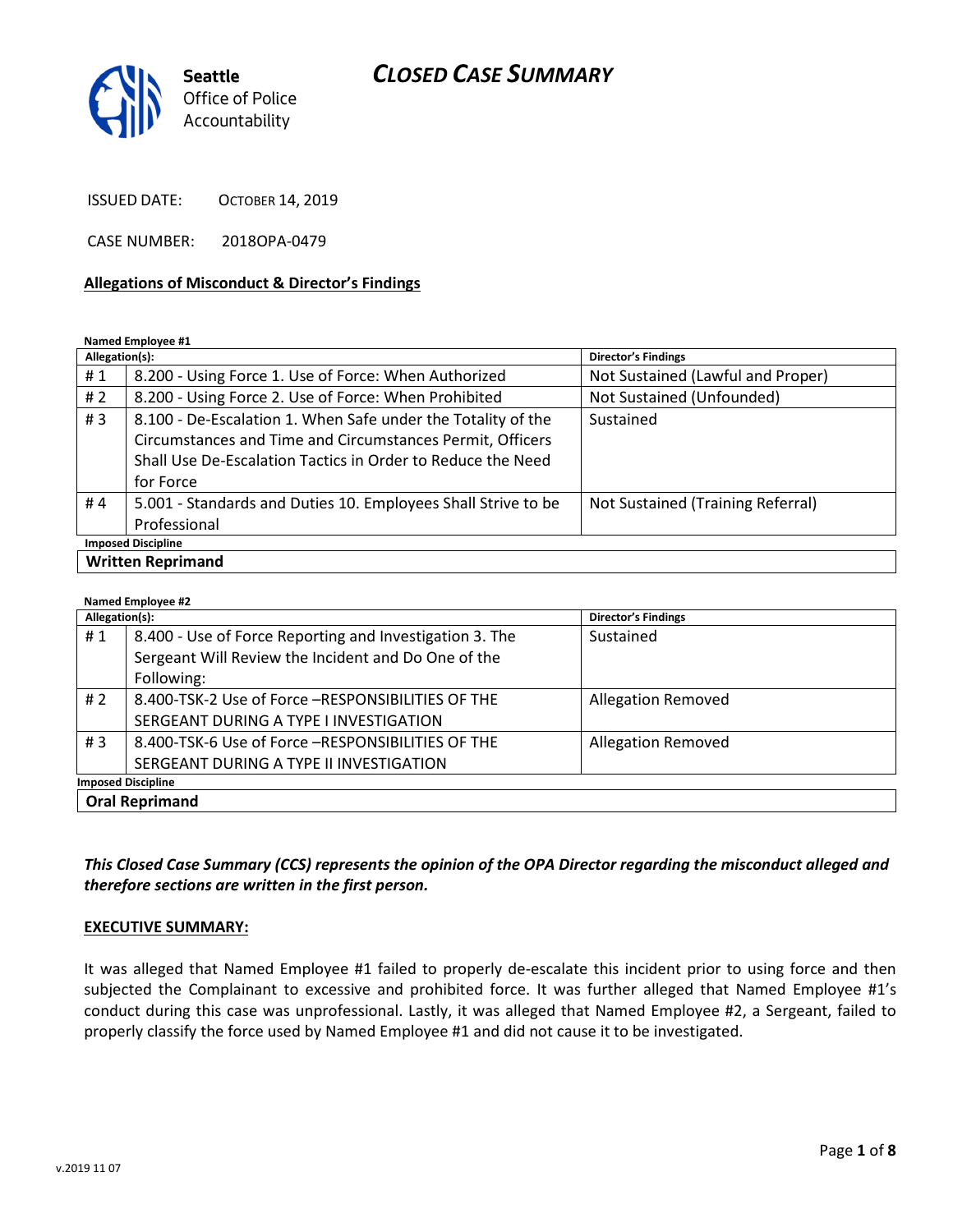

ISSUED DATE: OCTOBER 14, 2019

CASE NUMBER: 2018OPA-0479

#### Allegations of Misconduct & Director's Findings

Named Employee #1

| Allegation(s):            |                                                               | <b>Director's Findings</b>        |
|---------------------------|---------------------------------------------------------------|-----------------------------------|
| #1                        | 8.200 - Using Force 1. Use of Force: When Authorized          | Not Sustained (Lawful and Proper) |
| # $2$                     | 8.200 - Using Force 2. Use of Force: When Prohibited          | Not Sustained (Unfounded)         |
| #3                        | 8.100 - De-Escalation 1. When Safe under the Totality of the  | Sustained                         |
|                           | Circumstances and Time and Circumstances Permit, Officers     |                                   |
|                           | Shall Use De-Escalation Tactics in Order to Reduce the Need   |                                   |
|                           | for Force                                                     |                                   |
| #4                        | 5.001 - Standards and Duties 10. Employees Shall Strive to be | Not Sustained (Training Referral) |
|                           | Professional                                                  |                                   |
| <b>Imposed Discipline</b> |                                                               |                                   |
| <b>Written Reprimand</b>  |                                                               |                                   |

#### Named Employee #2 Allegation(s): Director's Findings # 1  $\parallel$  8.400 - Use of Force Reporting and Investigation 3. The Sergeant Will Review the Incident and Do One of the Following: Sustained # 2 | 8.400-TSK-2 Use of Force –RESPONSIBILITIES OF THE SERGEANT DURING A TYPE I INVESTIGATION Allegation Removed #3 8.400-TSK-6 Use of Force –RESPONSIBILITIES OF THE SERGEANT DURING A TYPE II INVESTIGATION Allegation Removed Imposed Discipline Oral Reprimand

### This Closed Case Summary (CCS) represents the opinion of the OPA Director regarding the misconduct alleged and therefore sections are written in the first person.

#### EXECUTIVE SUMMARY:

It was alleged that Named Employee #1 failed to properly de-escalate this incident prior to using force and then subjected the Complainant to excessive and prohibited force. It was further alleged that Named Employee #1's conduct during this case was unprofessional. Lastly, it was alleged that Named Employee #2, a Sergeant, failed to properly classify the force used by Named Employee #1 and did not cause it to be investigated.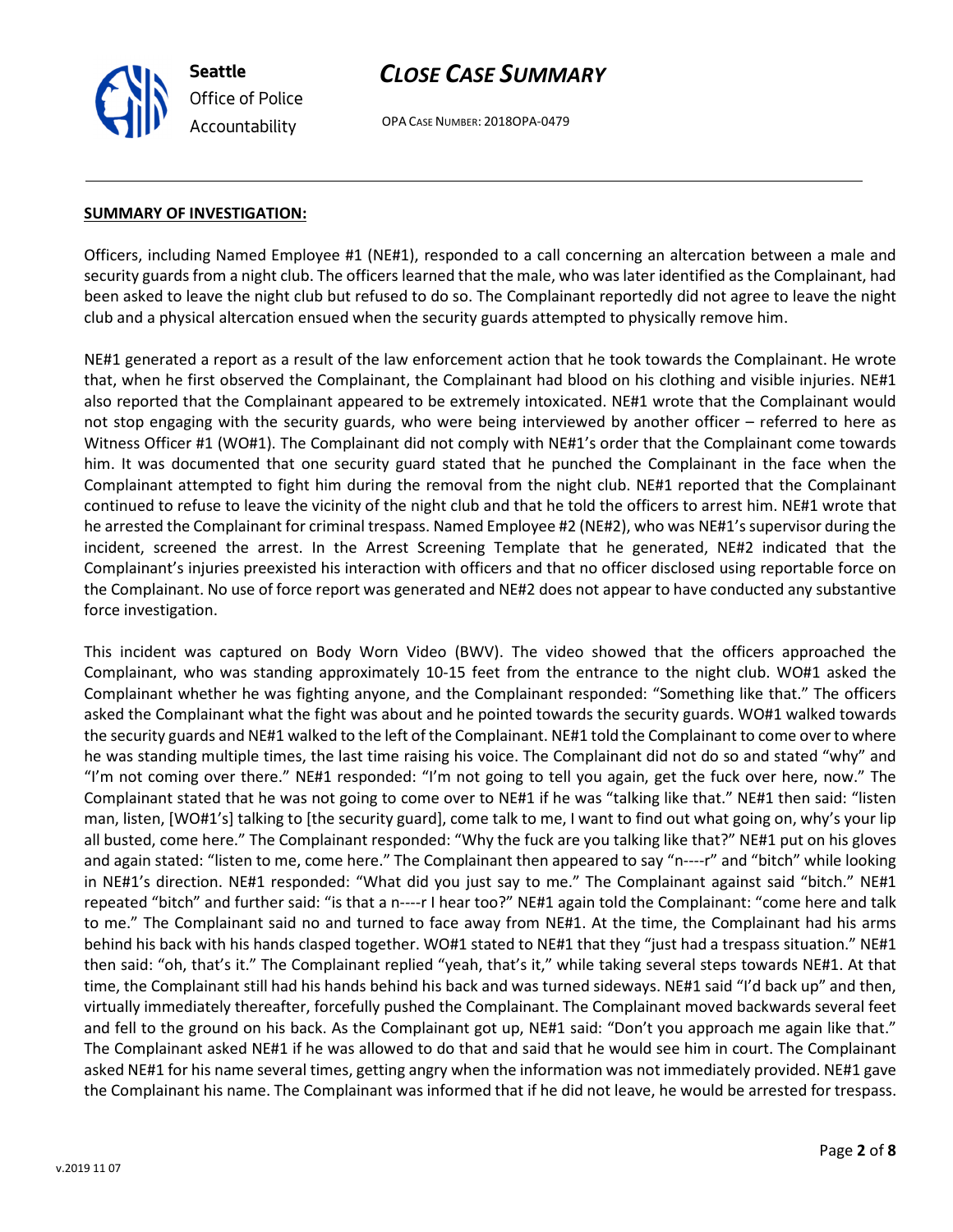OPA CASE NUMBER: 2018OPA-0479

#### SUMMARY OF INVESTIGATION:

Seattle

Office of Police Accountability

Officers, including Named Employee #1 (NE#1), responded to a call concerning an altercation between a male and security guards from a night club. The officers learned that the male, who was later identified as the Complainant, had been asked to leave the night club but refused to do so. The Complainant reportedly did not agree to leave the night club and a physical altercation ensued when the security guards attempted to physically remove him.

NE#1 generated a report as a result of the law enforcement action that he took towards the Complainant. He wrote that, when he first observed the Complainant, the Complainant had blood on his clothing and visible injuries. NE#1 also reported that the Complainant appeared to be extremely intoxicated. NE#1 wrote that the Complainant would not stop engaging with the security guards, who were being interviewed by another officer – referred to here as Witness Officer #1 (WO#1). The Complainant did not comply with NE#1's order that the Complainant come towards him. It was documented that one security guard stated that he punched the Complainant in the face when the Complainant attempted to fight him during the removal from the night club. NE#1 reported that the Complainant continued to refuse to leave the vicinity of the night club and that he told the officers to arrest him. NE#1 wrote that he arrested the Complainant for criminal trespass. Named Employee #2 (NE#2), who was NE#1's supervisor during the incident, screened the arrest. In the Arrest Screening Template that he generated, NE#2 indicated that the Complainant's injuries preexisted his interaction with officers and that no officer disclosed using reportable force on the Complainant. No use of force report was generated and NE#2 does not appear to have conducted any substantive force investigation.

This incident was captured on Body Worn Video (BWV). The video showed that the officers approached the Complainant, who was standing approximately 10-15 feet from the entrance to the night club. WO#1 asked the Complainant whether he was fighting anyone, and the Complainant responded: "Something like that." The officers asked the Complainant what the fight was about and he pointed towards the security guards. WO#1 walked towards the security guards and NE#1 walked to the left of the Complainant. NE#1 told the Complainant to come over to where he was standing multiple times, the last time raising his voice. The Complainant did not do so and stated "why" and "I'm not coming over there." NE#1 responded: "I'm not going to tell you again, get the fuck over here, now." The Complainant stated that he was not going to come over to NE#1 if he was "talking like that." NE#1 then said: "listen man, listen, [WO#1's] talking to [the security guard], come talk to me, I want to find out what going on, why's your lip all busted, come here." The Complainant responded: "Why the fuck are you talking like that?" NE#1 put on his gloves and again stated: "listen to me, come here." The Complainant then appeared to say "n----r" and "bitch" while looking in NE#1's direction. NE#1 responded: "What did you just say to me." The Complainant against said "bitch." NE#1 repeated "bitch" and further said: "is that a n----r I hear too?" NE#1 again told the Complainant: "come here and talk to me." The Complainant said no and turned to face away from NE#1. At the time, the Complainant had his arms behind his back with his hands clasped together. WO#1 stated to NE#1 that they "just had a trespass situation." NE#1 then said: "oh, that's it." The Complainant replied "yeah, that's it," while taking several steps towards NE#1. At that time, the Complainant still had his hands behind his back and was turned sideways. NE#1 said "I'd back up" and then, virtually immediately thereafter, forcefully pushed the Complainant. The Complainant moved backwards several feet and fell to the ground on his back. As the Complainant got up, NE#1 said: "Don't you approach me again like that." The Complainant asked NE#1 if he was allowed to do that and said that he would see him in court. The Complainant asked NE#1 for his name several times, getting angry when the information was not immediately provided. NE#1 gave the Complainant his name. The Complainant was informed that if he did not leave, he would be arrested for trespass.

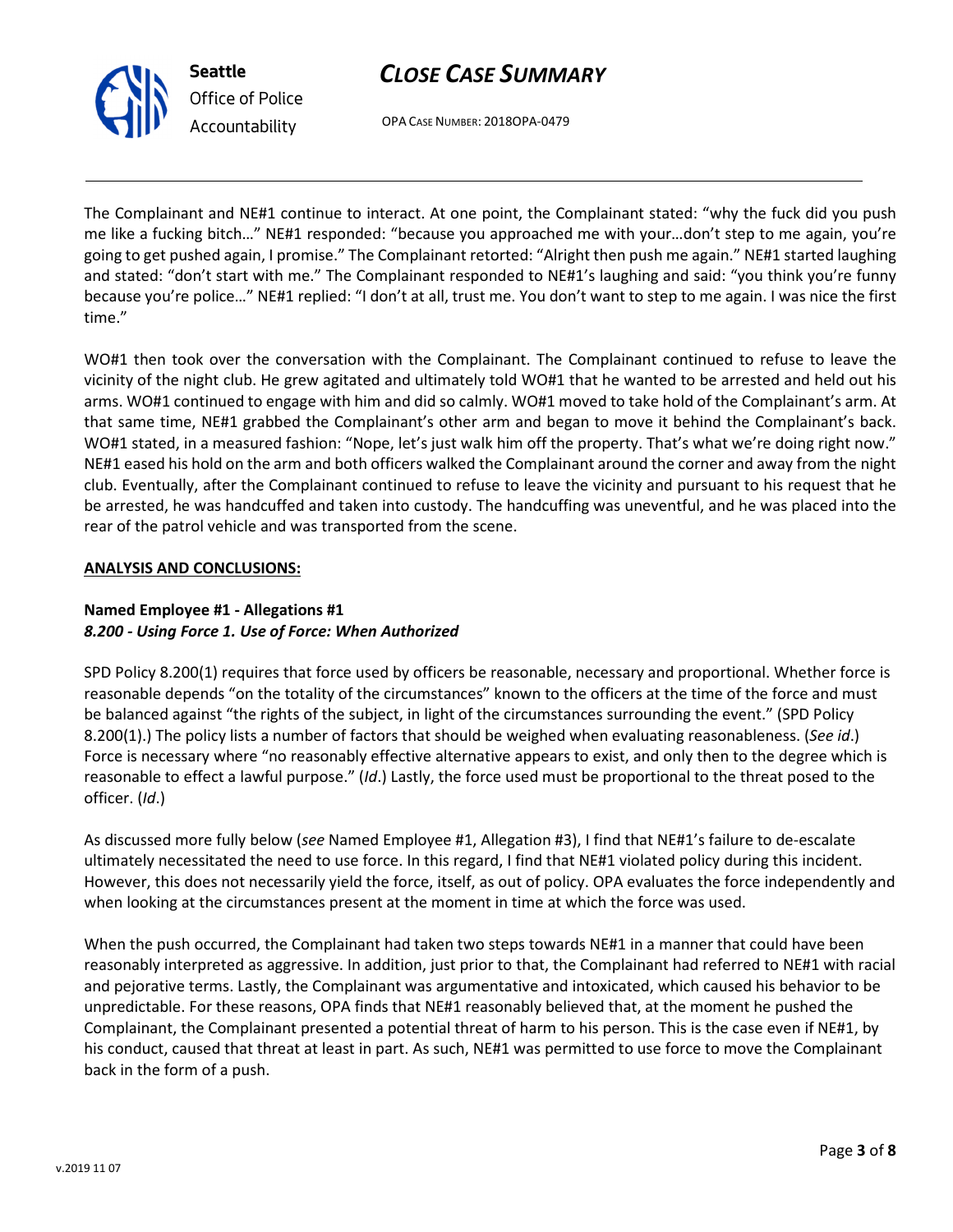

Office of Police Accountability

OPA CASE NUMBER: 2018OPA-0479

The Complainant and NE#1 continue to interact. At one point, the Complainant stated: "why the fuck did you push me like a fucking bitch…" NE#1 responded: "because you approached me with your…don't step to me again, you're going to get pushed again, I promise." The Complainant retorted: "Alright then push me again." NE#1 started laughing and stated: "don't start with me." The Complainant responded to NE#1's laughing and said: "you think you're funny because you're police…" NE#1 replied: "I don't at all, trust me. You don't want to step to me again. I was nice the first time."

WO#1 then took over the conversation with the Complainant. The Complainant continued to refuse to leave the vicinity of the night club. He grew agitated and ultimately told WO#1 that he wanted to be arrested and held out his arms. WO#1 continued to engage with him and did so calmly. WO#1 moved to take hold of the Complainant's arm. At that same time, NE#1 grabbed the Complainant's other arm and began to move it behind the Complainant's back. WO#1 stated, in a measured fashion: "Nope, let's just walk him off the property. That's what we're doing right now." NE#1 eased his hold on the arm and both officers walked the Complainant around the corner and away from the night club. Eventually, after the Complainant continued to refuse to leave the vicinity and pursuant to his request that he be arrested, he was handcuffed and taken into custody. The handcuffing was uneventful, and he was placed into the rear of the patrol vehicle and was transported from the scene.

## ANALYSIS AND CONCLUSIONS:

## Named Employee #1 - Allegations #1 8.200 - Using Force 1. Use of Force: When Authorized

SPD Policy 8.200(1) requires that force used by officers be reasonable, necessary and proportional. Whether force is reasonable depends "on the totality of the circumstances" known to the officers at the time of the force and must be balanced against "the rights of the subject, in light of the circumstances surrounding the event." (SPD Policy 8.200(1).) The policy lists a number of factors that should be weighed when evaluating reasonableness. (See id.) Force is necessary where "no reasonably effective alternative appears to exist, and only then to the degree which is reasonable to effect a lawful purpose." (Id.) Lastly, the force used must be proportional to the threat posed to the officer. (Id.)

As discussed more fully below (see Named Employee #1, Allegation #3), I find that NE#1's failure to de-escalate ultimately necessitated the need to use force. In this regard, I find that NE#1 violated policy during this incident. However, this does not necessarily yield the force, itself, as out of policy. OPA evaluates the force independently and when looking at the circumstances present at the moment in time at which the force was used.

When the push occurred, the Complainant had taken two steps towards NE#1 in a manner that could have been reasonably interpreted as aggressive. In addition, just prior to that, the Complainant had referred to NE#1 with racial and pejorative terms. Lastly, the Complainant was argumentative and intoxicated, which caused his behavior to be unpredictable. For these reasons, OPA finds that NE#1 reasonably believed that, at the moment he pushed the Complainant, the Complainant presented a potential threat of harm to his person. This is the case even if NE#1, by his conduct, caused that threat at least in part. As such, NE#1 was permitted to use force to move the Complainant back in the form of a push.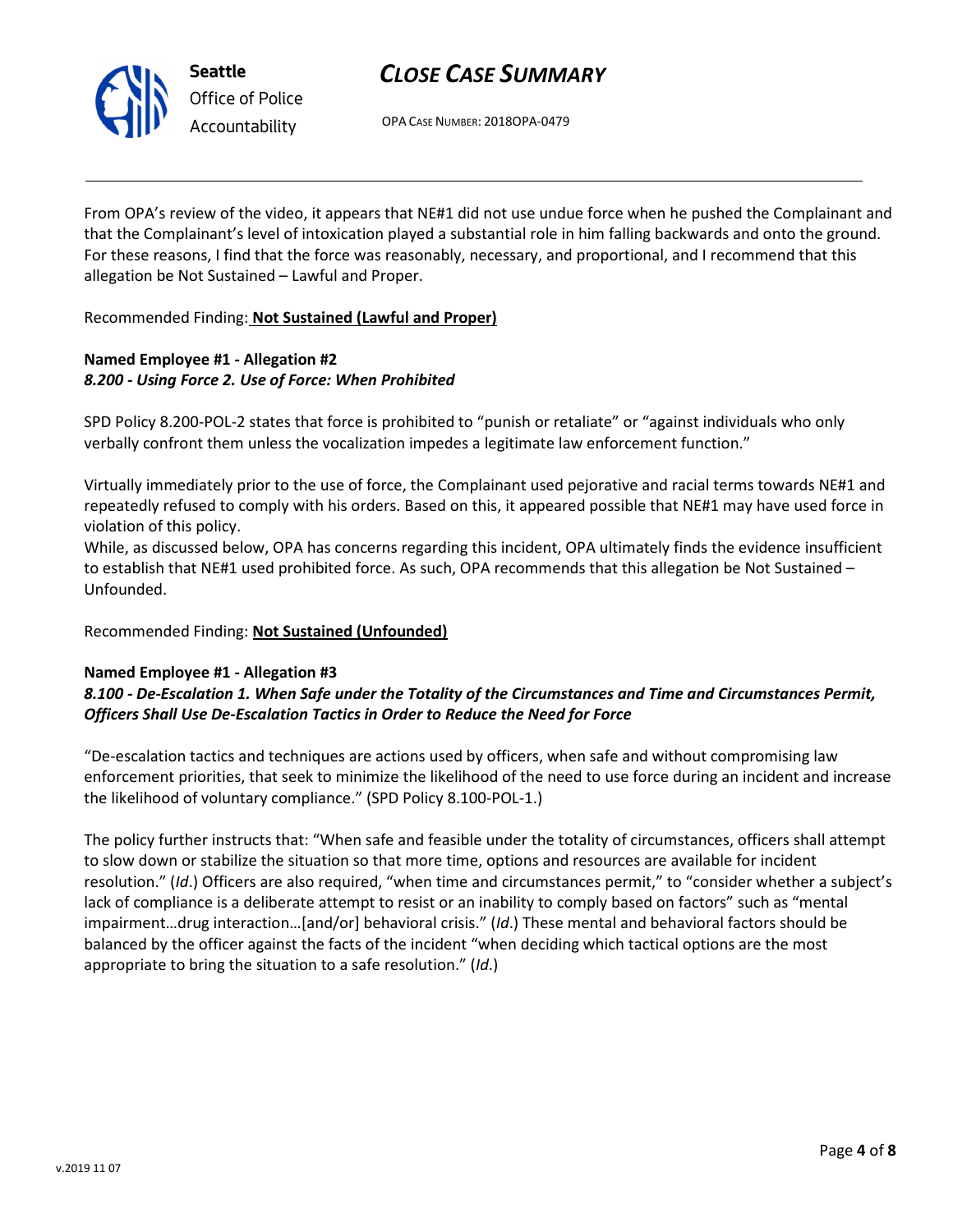

OPA CASE NUMBER: 2018OPA-0479

From OPA's review of the video, it appears that NE#1 did not use undue force when he pushed the Complainant and that the Complainant's level of intoxication played a substantial role in him falling backwards and onto the ground. For these reasons, I find that the force was reasonably, necessary, and proportional, and I recommend that this allegation be Not Sustained – Lawful and Proper.

Recommended Finding: Not Sustained (Lawful and Proper)

## Named Employee #1 - Allegation #2 8.200 - Using Force 2. Use of Force: When Prohibited

SPD Policy 8.200-POL-2 states that force is prohibited to "punish or retaliate" or "against individuals who only verbally confront them unless the vocalization impedes a legitimate law enforcement function."

Virtually immediately prior to the use of force, the Complainant used pejorative and racial terms towards NE#1 and repeatedly refused to comply with his orders. Based on this, it appeared possible that NE#1 may have used force in violation of this policy.

While, as discussed below, OPA has concerns regarding this incident, OPA ultimately finds the evidence insufficient to establish that NE#1 used prohibited force. As such, OPA recommends that this allegation be Not Sustained – Unfounded.

Recommended Finding: Not Sustained (Unfounded)

### Named Employee #1 - Allegation #3

### 8.100 - De-Escalation 1. When Safe under the Totality of the Circumstances and Time and Circumstances Permit, Officers Shall Use De-Escalation Tactics in Order to Reduce the Need for Force

"De-escalation tactics and techniques are actions used by officers, when safe and without compromising law enforcement priorities, that seek to minimize the likelihood of the need to use force during an incident and increase the likelihood of voluntary compliance." (SPD Policy 8.100-POL-1.)

The policy further instructs that: "When safe and feasible under the totality of circumstances, officers shall attempt to slow down or stabilize the situation so that more time, options and resources are available for incident resolution." (Id.) Officers are also required, "when time and circumstances permit," to "consider whether a subject's lack of compliance is a deliberate attempt to resist or an inability to comply based on factors" such as "mental impairment…drug interaction…[and/or] behavioral crisis." (Id.) These mental and behavioral factors should be balanced by the officer against the facts of the incident "when deciding which tactical options are the most appropriate to bring the situation to a safe resolution." (Id.)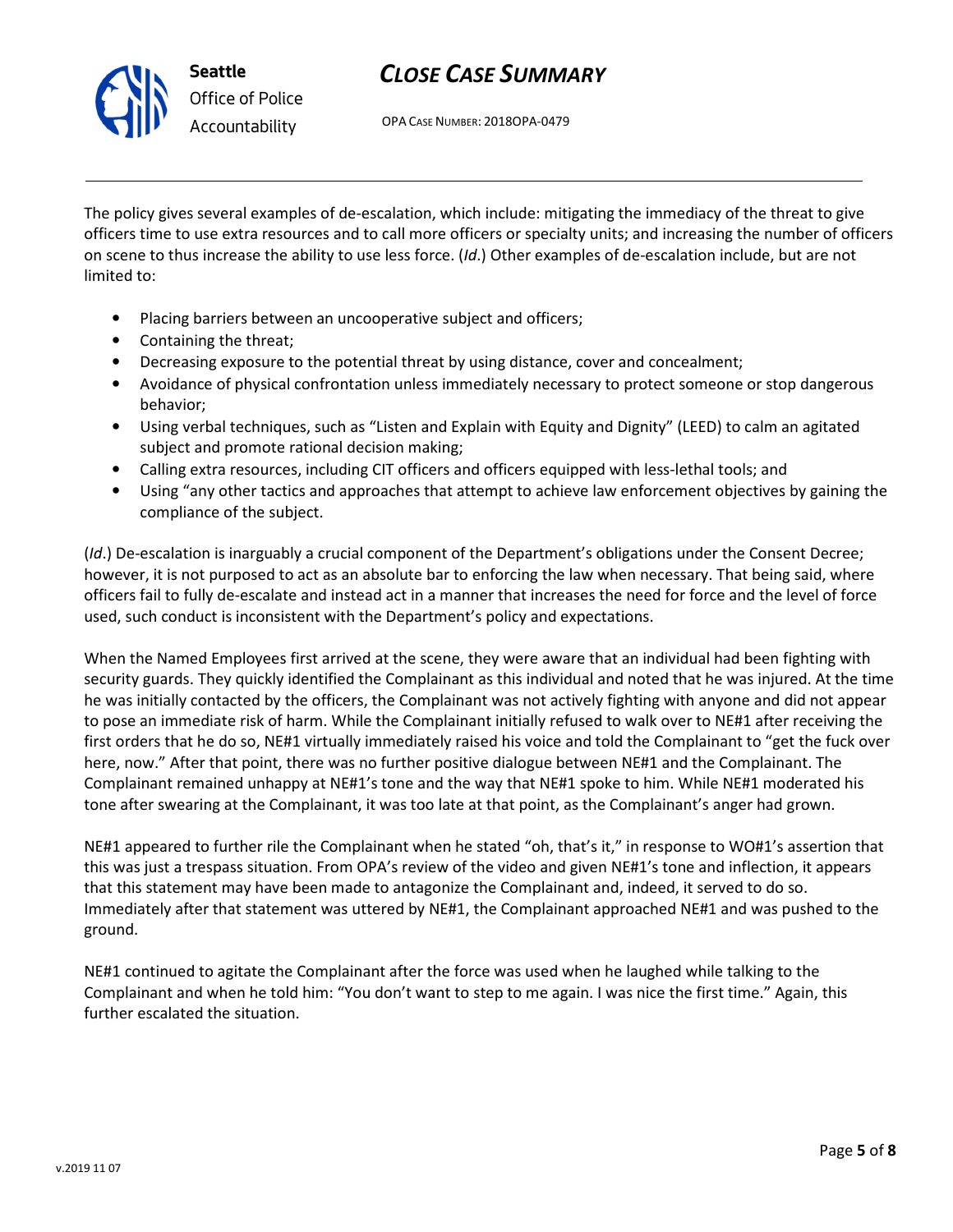

OPA CASE NUMBER: 2018OPA-0479

The policy gives several examples of de-escalation, which include: mitigating the immediacy of the threat to give officers time to use extra resources and to call more officers or specialty units; and increasing the number of officers on scene to thus increase the ability to use less force. (Id.) Other examples of de-escalation include, but are not limited to:

- Placing barriers between an uncooperative subject and officers;
- Containing the threat;
- Decreasing exposure to the potential threat by using distance, cover and concealment;
- Avoidance of physical confrontation unless immediately necessary to protect someone or stop dangerous behavior;
- Using verbal techniques, such as "Listen and Explain with Equity and Dignity" (LEED) to calm an agitated subject and promote rational decision making;
- Calling extra resources, including CIT officers and officers equipped with less-lethal tools; and
- Using "any other tactics and approaches that attempt to achieve law enforcement objectives by gaining the compliance of the subject.

(Id.) De-escalation is inarguably a crucial component of the Department's obligations under the Consent Decree; however, it is not purposed to act as an absolute bar to enforcing the law when necessary. That being said, where officers fail to fully de-escalate and instead act in a manner that increases the need for force and the level of force used, such conduct is inconsistent with the Department's policy and expectations.

When the Named Employees first arrived at the scene, they were aware that an individual had been fighting with security guards. They quickly identified the Complainant as this individual and noted that he was injured. At the time he was initially contacted by the officers, the Complainant was not actively fighting with anyone and did not appear to pose an immediate risk of harm. While the Complainant initially refused to walk over to NE#1 after receiving the first orders that he do so, NE#1 virtually immediately raised his voice and told the Complainant to "get the fuck over here, now." After that point, there was no further positive dialogue between NE#1 and the Complainant. The Complainant remained unhappy at NE#1's tone and the way that NE#1 spoke to him. While NE#1 moderated his tone after swearing at the Complainant, it was too late at that point, as the Complainant's anger had grown.

NE#1 appeared to further rile the Complainant when he stated "oh, that's it," in response to WO#1's assertion that this was just a trespass situation. From OPA's review of the video and given NE#1's tone and inflection, it appears that this statement may have been made to antagonize the Complainant and, indeed, it served to do so. Immediately after that statement was uttered by NE#1, the Complainant approached NE#1 and was pushed to the ground.

NE#1 continued to agitate the Complainant after the force was used when he laughed while talking to the Complainant and when he told him: "You don't want to step to me again. I was nice the first time." Again, this further escalated the situation.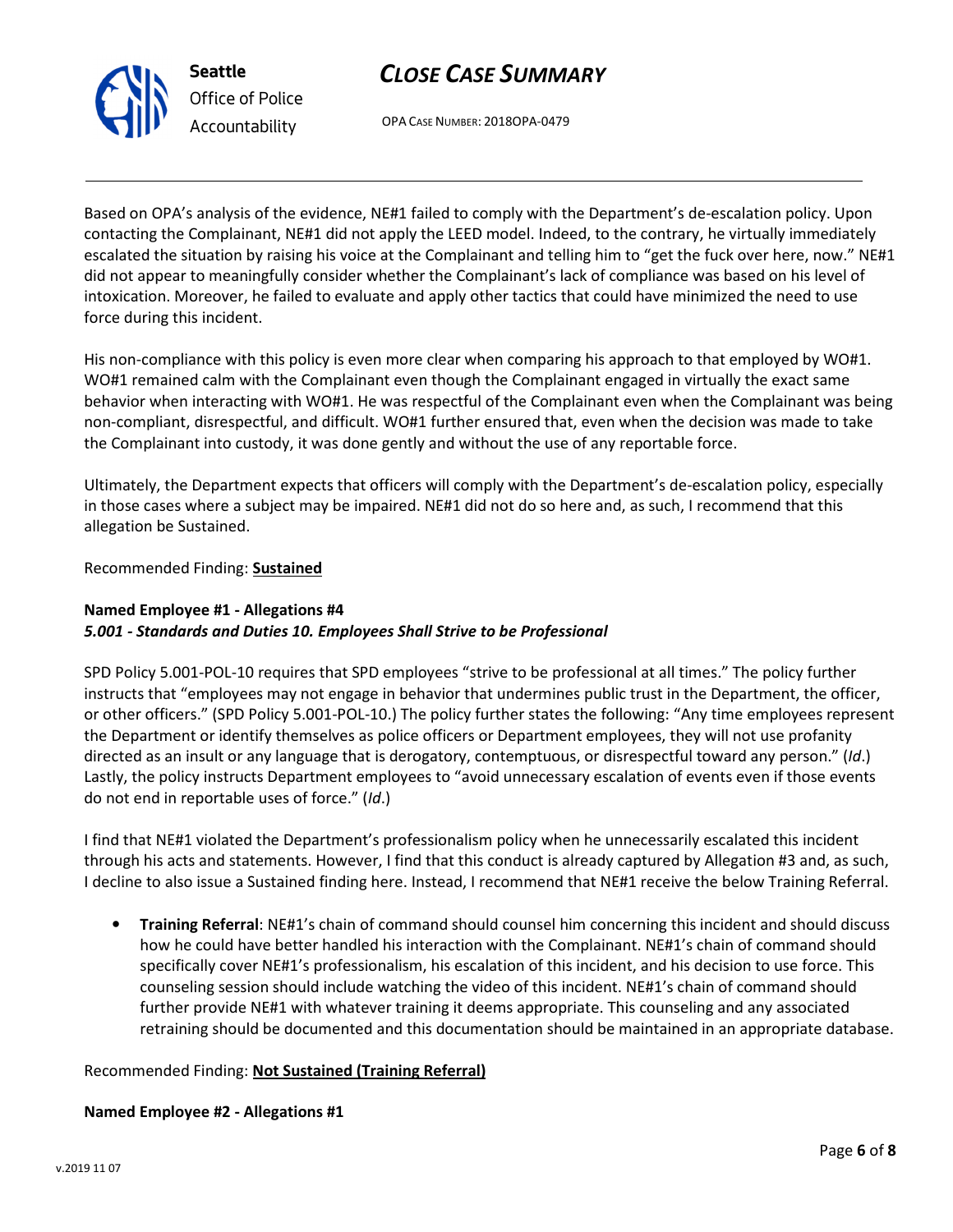



OPA CASE NUMBER: 2018OPA-0479

Based on OPA's analysis of the evidence, NE#1 failed to comply with the Department's de-escalation policy. Upon contacting the Complainant, NE#1 did not apply the LEED model. Indeed, to the contrary, he virtually immediately escalated the situation by raising his voice at the Complainant and telling him to "get the fuck over here, now." NE#1 did not appear to meaningfully consider whether the Complainant's lack of compliance was based on his level of intoxication. Moreover, he failed to evaluate and apply other tactics that could have minimized the need to use force during this incident.

His non-compliance with this policy is even more clear when comparing his approach to that employed by WO#1. WO#1 remained calm with the Complainant even though the Complainant engaged in virtually the exact same behavior when interacting with WO#1. He was respectful of the Complainant even when the Complainant was being non-compliant, disrespectful, and difficult. WO#1 further ensured that, even when the decision was made to take the Complainant into custody, it was done gently and without the use of any reportable force.

Ultimately, the Department expects that officers will comply with the Department's de-escalation policy, especially in those cases where a subject may be impaired. NE#1 did not do so here and, as such, I recommend that this allegation be Sustained.

Recommended Finding: Sustained

### Named Employee #1 - Allegations #4 5.001 - Standards and Duties 10. Employees Shall Strive to be Professional

SPD Policy 5.001-POL-10 requires that SPD employees "strive to be professional at all times." The policy further instructs that "employees may not engage in behavior that undermines public trust in the Department, the officer, or other officers." (SPD Policy 5.001-POL-10.) The policy further states the following: "Any time employees represent the Department or identify themselves as police officers or Department employees, they will not use profanity directed as an insult or any language that is derogatory, contemptuous, or disrespectful toward any person." (Id.) Lastly, the policy instructs Department employees to "avoid unnecessary escalation of events even if those events do not end in reportable uses of force." (Id.)

I find that NE#1 violated the Department's professionalism policy when he unnecessarily escalated this incident through his acts and statements. However, I find that this conduct is already captured by Allegation #3 and, as such, I decline to also issue a Sustained finding here. Instead, I recommend that NE#1 receive the below Training Referral.

• Training Referral: NE#1's chain of command should counsel him concerning this incident and should discuss how he could have better handled his interaction with the Complainant. NE#1's chain of command should specifically cover NE#1's professionalism, his escalation of this incident, and his decision to use force. This counseling session should include watching the video of this incident. NE#1's chain of command should further provide NE#1 with whatever training it deems appropriate. This counseling and any associated retraining should be documented and this documentation should be maintained in an appropriate database.

### Recommended Finding: Not Sustained (Training Referral)

### Named Employee #2 - Allegations #1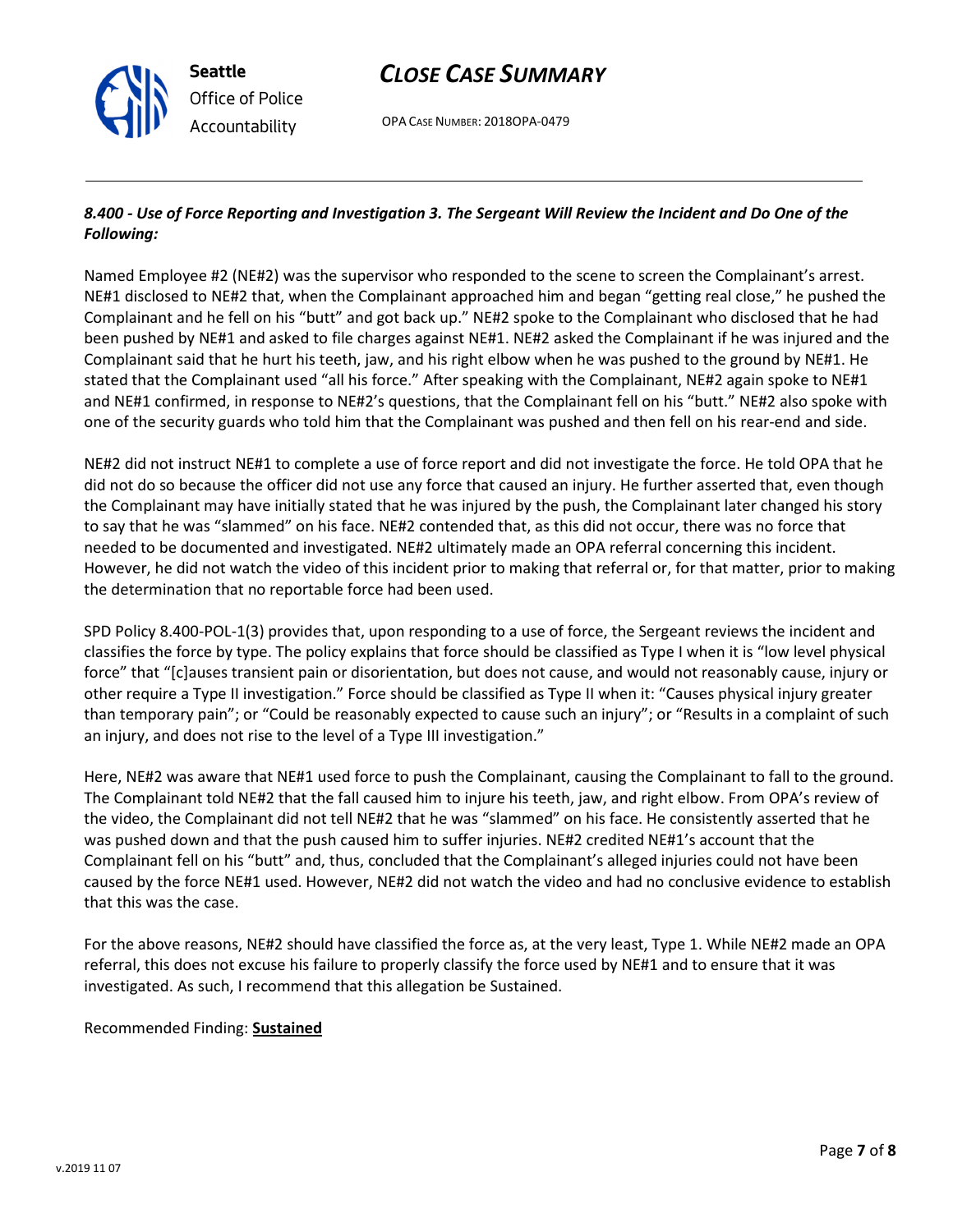OPA CASE NUMBER: 2018OPA-0479

#### 8.400 - Use of Force Reporting and Investigation 3. The Sergeant Will Review the Incident and Do One of the Following:

Named Employee #2 (NE#2) was the supervisor who responded to the scene to screen the Complainant's arrest. NE#1 disclosed to NE#2 that, when the Complainant approached him and began "getting real close," he pushed the Complainant and he fell on his "butt" and got back up." NE#2 spoke to the Complainant who disclosed that he had been pushed by NE#1 and asked to file charges against NE#1. NE#2 asked the Complainant if he was injured and the Complainant said that he hurt his teeth, jaw, and his right elbow when he was pushed to the ground by NE#1. He stated that the Complainant used "all his force." After speaking with the Complainant, NE#2 again spoke to NE#1 and NE#1 confirmed, in response to NE#2's questions, that the Complainant fell on his "butt." NE#2 also spoke with one of the security guards who told him that the Complainant was pushed and then fell on his rear-end and side.

NE#2 did not instruct NE#1 to complete a use of force report and did not investigate the force. He told OPA that he did not do so because the officer did not use any force that caused an injury. He further asserted that, even though the Complainant may have initially stated that he was injured by the push, the Complainant later changed his story to say that he was "slammed" on his face. NE#2 contended that, as this did not occur, there was no force that needed to be documented and investigated. NE#2 ultimately made an OPA referral concerning this incident. However, he did not watch the video of this incident prior to making that referral or, for that matter, prior to making the determination that no reportable force had been used.

SPD Policy 8.400-POL-1(3) provides that, upon responding to a use of force, the Sergeant reviews the incident and classifies the force by type. The policy explains that force should be classified as Type I when it is "low level physical force" that "[c]auses transient pain or disorientation, but does not cause, and would not reasonably cause, injury or other require a Type II investigation." Force should be classified as Type II when it: "Causes physical injury greater than temporary pain"; or "Could be reasonably expected to cause such an injury"; or "Results in a complaint of such an injury, and does not rise to the level of a Type III investigation."

Here, NE#2 was aware that NE#1 used force to push the Complainant, causing the Complainant to fall to the ground. The Complainant told NE#2 that the fall caused him to injure his teeth, jaw, and right elbow. From OPA's review of the video, the Complainant did not tell NE#2 that he was "slammed" on his face. He consistently asserted that he was pushed down and that the push caused him to suffer injuries. NE#2 credited NE#1's account that the Complainant fell on his "butt" and, thus, concluded that the Complainant's alleged injuries could not have been caused by the force NE#1 used. However, NE#2 did not watch the video and had no conclusive evidence to establish that this was the case.

For the above reasons, NE#2 should have classified the force as, at the very least, Type 1. While NE#2 made an OPA referral, this does not excuse his failure to properly classify the force used by NE#1 and to ensure that it was investigated. As such, I recommend that this allegation be Sustained.

#### Recommended Finding: Sustained



Seattle

Office of Police Accountability